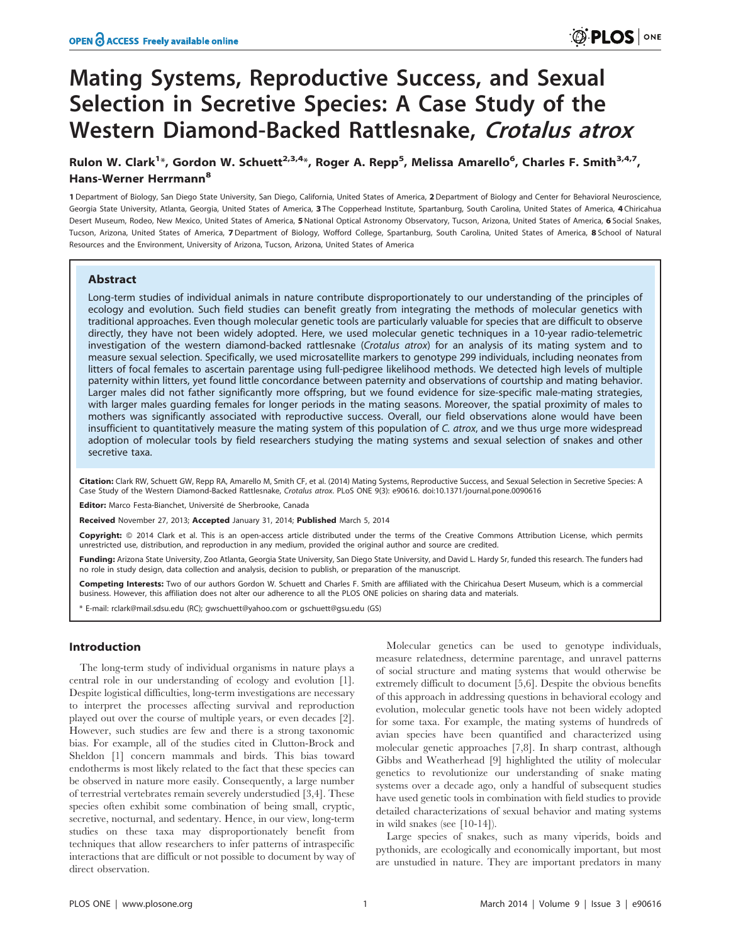# Mating Systems, Reproductive Success, and Sexual Selection in Secretive Species: A Case Study of the Western Diamond-Backed Rattlesnake, Crotalus atrox

## Rulon W. Clark<sup>1\*</sup>, Gordon W. Schuett<sup>2,3,4</sup>\*, Roger A. Repp<sup>5</sup>, Melissa Amarello<sup>6</sup>, Charles F. Smith<sup>3,4,7</sup>, Hans-Werner Herrmann<sup>8</sup>

1 Department of Biology, San Diego State University, San Diego, California, United States of America, 2 Department of Biology and Center for Behavioral Neuroscience, Georgia State University, Atlanta, Georgia, United States of America, 3 The Copperhead Institute, Spartanburg, South Carolina, United States of America, 4 Chiricahua Desert Museum, Rodeo, New Mexico, United States of America, 5 National Optical Astronomy Observatory, Tucson, Arizona, United States of America, 6 Social Snakes, Tucson, Arizona, United States of America, 7 Department of Biology, Wofford College, Spartanburg, South Carolina, United States of America, 8 School of Natural Resources and the Environment, University of Arizona, Tucson, Arizona, United States of America

## Abstract

Long-term studies of individual animals in nature contribute disproportionately to our understanding of the principles of ecology and evolution. Such field studies can benefit greatly from integrating the methods of molecular genetics with traditional approaches. Even though molecular genetic tools are particularly valuable for species that are difficult to observe directly, they have not been widely adopted. Here, we used molecular genetic techniques in a 10-year radio-telemetric investigation of the western diamond-backed rattlesnake (Crotalus atrox) for an analysis of its mating system and to measure sexual selection. Specifically, we used microsatellite markers to genotype 299 individuals, including neonates from litters of focal females to ascertain parentage using full-pedigree likelihood methods. We detected high levels of multiple paternity within litters, yet found little concordance between paternity and observations of courtship and mating behavior. Larger males did not father significantly more offspring, but we found evidence for size-specific male-mating strategies, with larger males guarding females for longer periods in the mating seasons. Moreover, the spatial proximity of males to mothers was significantly associated with reproductive success. Overall, our field observations alone would have been insufficient to quantitatively measure the mating system of this population of C. atrox, and we thus urge more widespread adoption of molecular tools by field researchers studying the mating systems and sexual selection of snakes and other secretive taxa.

Citation: Clark RW, Schuett GW, Repp RA, Amarello M, Smith CF, et al. (2014) Mating Systems, Reproductive Success, and Sexual Selection in Secretive Species: A Case Study of the Western Diamond-Backed Rattlesnake, Crotalus atrox. PLoS ONE 9(3): e90616. doi:10.1371/journal.pone.0090616

Editor: Marco Festa-Bianchet, Université de Sherbrooke, Canada

Received November 27, 2013; Accepted January 31, 2014; Published March 5, 2014

Copyright: © 2014 Clark et al. This is an open-access article distributed under the terms of the [Creative Commons Attribution License,](http://creativecommons.org/licenses/by/4.0/) which permits unrestricted use, distribution, and reproduction in any medium, provided the original author and source are credited.

Funding: Arizona State University, Zoo Atlanta, Georgia State University, San Diego State University, and David L. Hardy Sr, funded this research. The funders had no role in study design, data collection and analysis, decision to publish, or preparation of the manuscript.

Competing Interests: Two of our authors Gordon W. Schuett and Charles F. Smith are affiliated with the Chiricahua Desert Museum, which is a commercial business. However, this affiliation does not alter our adherence to all the PLOS ONE policies on sharing data and materials.

\* E-mail: rclark@mail.sdsu.edu (RC); gwschuett@yahoo.com or gschuett@gsu.edu (GS)

## Introduction

The long-term study of individual organisms in nature plays a central role in our understanding of ecology and evolution [1]. Despite logistical difficulties, long-term investigations are necessary to interpret the processes affecting survival and reproduction played out over the course of multiple years, or even decades [2]. However, such studies are few and there is a strong taxonomic bias. For example, all of the studies cited in Clutton-Brock and Sheldon [1] concern mammals and birds. This bias toward endotherms is most likely related to the fact that these species can be observed in nature more easily. Consequently, a large number of terrestrial vertebrates remain severely understudied [3,4]. These species often exhibit some combination of being small, cryptic, secretive, nocturnal, and sedentary. Hence, in our view, long-term studies on these taxa may disproportionately benefit from techniques that allow researchers to infer patterns of intraspecific interactions that are difficult or not possible to document by way of direct observation.

Molecular genetics can be used to genotype individuals, measure relatedness, determine parentage, and unravel patterns of social structure and mating systems that would otherwise be extremely difficult to document [5,6]. Despite the obvious benefits of this approach in addressing questions in behavioral ecology and evolution, molecular genetic tools have not been widely adopted for some taxa. For example, the mating systems of hundreds of avian species have been quantified and characterized using molecular genetic approaches [7,8]. In sharp contrast, although Gibbs and Weatherhead [9] highlighted the utility of molecular genetics to revolutionize our understanding of snake mating systems over a decade ago, only a handful of subsequent studies have used genetic tools in combination with field studies to provide detailed characterizations of sexual behavior and mating systems in wild snakes (see [10-14]).

Large species of snakes, such as many viperids, boids and pythonids, are ecologically and economically important, but most are unstudied in nature. They are important predators in many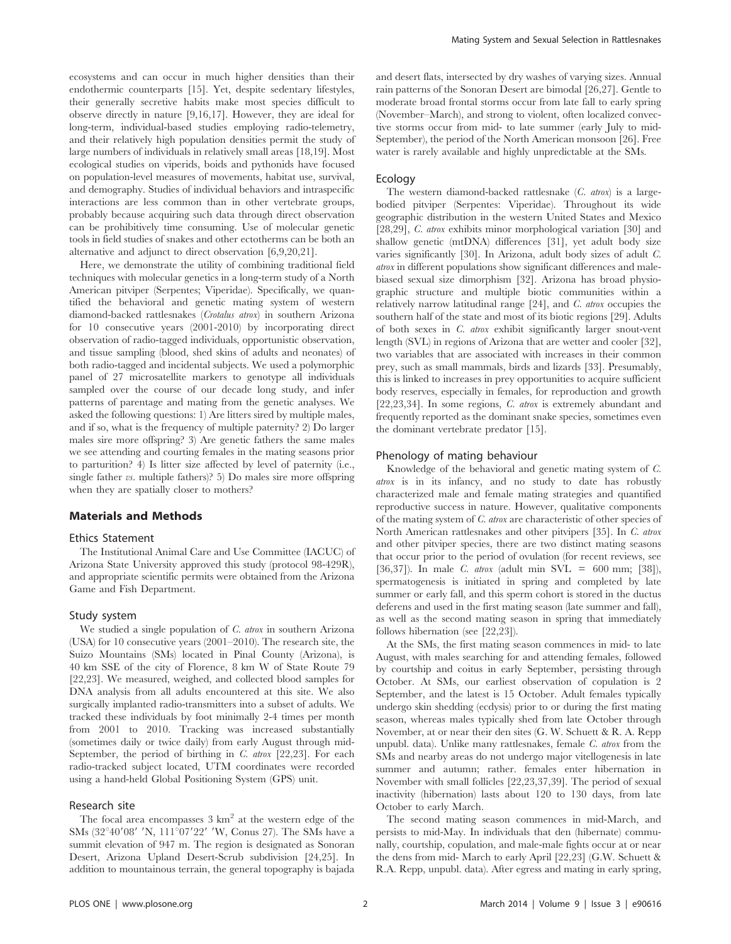ecosystems and can occur in much higher densities than their endothermic counterparts [15]. Yet, despite sedentary lifestyles, their generally secretive habits make most species difficult to observe directly in nature [9,16,17]. However, they are ideal for long-term, individual-based studies employing radio-telemetry, and their relatively high population densities permit the study of large numbers of individuals in relatively small areas [18,19]. Most ecological studies on viperids, boids and pythonids have focused on population-level measures of movements, habitat use, survival, and demography. Studies of individual behaviors and intraspecific interactions are less common than in other vertebrate groups, probably because acquiring such data through direct observation can be prohibitively time consuming. Use of molecular genetic tools in field studies of snakes and other ectotherms can be both an alternative and adjunct to direct observation [6,9,20,21].

Here, we demonstrate the utility of combining traditional field techniques with molecular genetics in a long-term study of a North American pitviper (Serpentes; Viperidae). Specifically, we quantified the behavioral and genetic mating system of western diamond-backed rattlesnakes (Crotalus atrox) in southern Arizona for 10 consecutive years (2001-2010) by incorporating direct observation of radio-tagged individuals, opportunistic observation, and tissue sampling (blood, shed skins of adults and neonates) of both radio-tagged and incidental subjects. We used a polymorphic panel of 27 microsatellite markers to genotype all individuals sampled over the course of our decade long study, and infer patterns of parentage and mating from the genetic analyses. We asked the following questions: 1) Are litters sired by multiple males, and if so, what is the frequency of multiple paternity? 2) Do larger males sire more offspring? 3) Are genetic fathers the same males we see attending and courting females in the mating seasons prior to parturition? 4) Is litter size affected by level of paternity (i.e., single father vs. multiple fathers)? 5) Do males sire more offspring when they are spatially closer to mothers?

## Materials and Methods

### Ethics Statement

The Institutional Animal Care and Use Committee (IACUC) of Arizona State University approved this study (protocol 98-429R), and appropriate scientific permits were obtained from the Arizona Game and Fish Department.

## Study system

We studied a single population of C. atrox in southern Arizona (USA) for 10 consecutive years (2001–2010). The research site, the Suizo Mountains (SMs) located in Pinal County (Arizona), is 40 km SSE of the city of Florence, 8 km W of State Route 79 [22,23]. We measured, weighed, and collected blood samples for DNA analysis from all adults encountered at this site. We also surgically implanted radio-transmitters into a subset of adults. We tracked these individuals by foot minimally 2-4 times per month from 2001 to 2010. Tracking was increased substantially (sometimes daily or twice daily) from early August through mid-September, the period of birthing in C. atrox [22,23]. For each radio-tracked subject located, UTM coordinates were recorded using a hand-held Global Positioning System (GPS) unit.

## Research site

The focal area encompasses 3 km<sup>2</sup> at the western edge of the SMs (32°40′08′ 'N, 111°07′22′ 'W, Conus 27). The SMs have a summit elevation of 947 m. The region is designated as Sonoran Desert, Arizona Upland Desert-Scrub subdivision [24,25]. In addition to mountainous terrain, the general topography is bajada and desert flats, intersected by dry washes of varying sizes. Annual rain patterns of the Sonoran Desert are bimodal [26,27]. Gentle to moderate broad frontal storms occur from late fall to early spring (November–March), and strong to violent, often localized convective storms occur from mid- to late summer (early July to mid-September), the period of the North American monsoon [26]. Free water is rarely available and highly unpredictable at the SMs.

#### Ecology

The western diamond-backed rattlesnake (C. atrox) is a largebodied pitviper (Serpentes: Viperidae). Throughout its wide geographic distribution in the western United States and Mexico [28,29], *C. atrox* exhibits minor morphological variation [30] and shallow genetic (mtDNA) differences [31], yet adult body size varies significantly [30]. In Arizona, adult body sizes of adult C. atrox in different populations show significant differences and malebiased sexual size dimorphism [32]. Arizona has broad physiographic structure and multiple biotic communities within a relatively narrow latitudinal range [24], and C. atrox occupies the southern half of the state and most of its biotic regions [29]. Adults of both sexes in C. atrox exhibit significantly larger snout-vent length (SVL) in regions of Arizona that are wetter and cooler [32], two variables that are associated with increases in their common prey, such as small mammals, birds and lizards [33]. Presumably, this is linked to increases in prey opportunities to acquire sufficient body reserves, especially in females, for reproduction and growth [22,23,34]. In some regions, *C. atrox* is extremely abundant and frequently reported as the dominant snake species, sometimes even the dominant vertebrate predator [15].

### Phenology of mating behaviour

Knowledge of the behavioral and genetic mating system of C. atrox is in its infancy, and no study to date has robustly characterized male and female mating strategies and quantified reproductive success in nature. However, qualitative components of the mating system of C. atrox are characteristic of other species of North American rattlesnakes and other pitvipers [35]. In C. atrox and other pitviper species, there are two distinct mating seasons that occur prior to the period of ovulation (for recent reviews, see [36,37]). In male *C. atrox* (adult min SVL = 600 mm; [38]), spermatogenesis is initiated in spring and completed by late summer or early fall, and this sperm cohort is stored in the ductus deferens and used in the first mating season (late summer and fall), as well as the second mating season in spring that immediately follows hibernation (see [22,23]).

At the SMs, the first mating season commences in mid- to late August, with males searching for and attending females, followed by courtship and coitus in early September, persisting through October. At SMs, our earliest observation of copulation is 2 September, and the latest is 15 October. Adult females typically undergo skin shedding (ecdysis) prior to or during the first mating season, whereas males typically shed from late October through November, at or near their den sites (G. W. Schuett & R. A. Repp unpubl. data). Unlike many rattlesnakes, female C. atrox from the SMs and nearby areas do not undergo major vitellogenesis in late summer and autumn; rather. females enter hibernation in November with small follicles [22,23,37,39]. The period of sexual inactivity (hibernation) lasts about 120 to 130 days, from late October to early March.

The second mating season commences in mid-March, and persists to mid-May. In individuals that den (hibernate) communally, courtship, copulation, and male-male fights occur at or near the dens from mid- March to early April [22,23] (G.W. Schuett & R.A. Repp, unpubl. data). After egress and mating in early spring,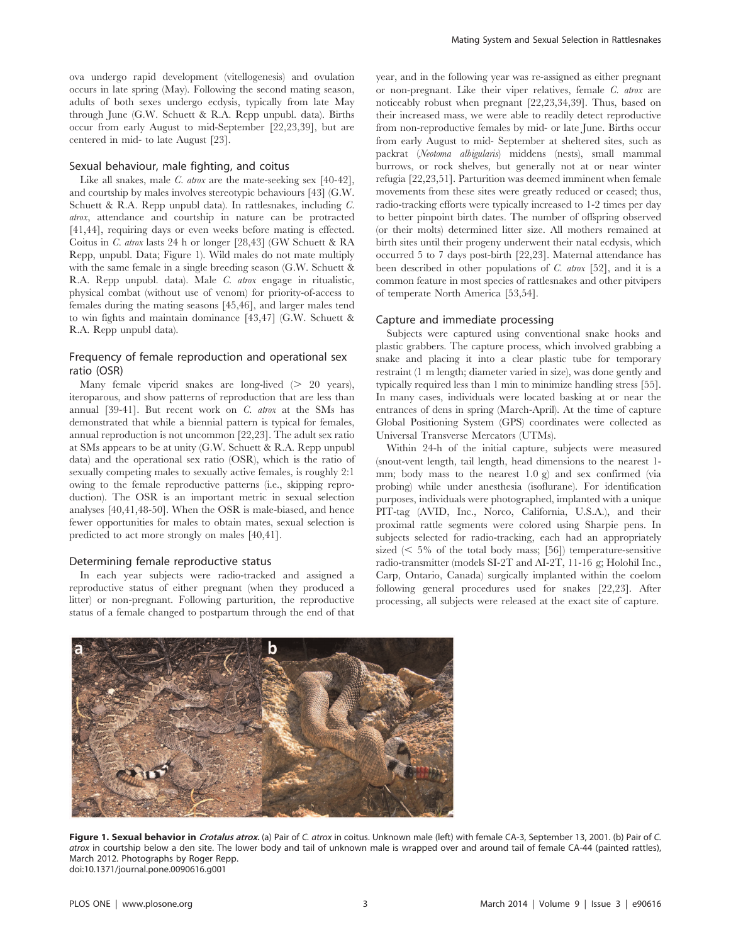ova undergo rapid development (vitellogenesis) and ovulation occurs in late spring (May). Following the second mating season, adults of both sexes undergo ecdysis, typically from late May through June (G.W. Schuett & R.A. Repp unpubl. data). Births occur from early August to mid-September [22,23,39], but are centered in mid- to late August [23].

#### Sexual behaviour, male fighting, and coitus

Like all snakes, male *C. atrox* are the mate-seeking sex [40-42], and courtship by males involves stereotypic behaviours [43] (G.W. Schuett & R.A. Repp unpubl data). In rattlesnakes, including C. atrox, attendance and courtship in nature can be protracted [41,44], requiring days or even weeks before mating is effected. Coitus in C. atrox lasts 24 h or longer [28,43] (GW Schuett & RA Repp, unpubl. Data; Figure 1). Wild males do not mate multiply with the same female in a single breeding season (G.W. Schuett & R.A. Repp unpubl. data). Male C. atrox engage in ritualistic, physical combat (without use of venom) for priority-of-access to females during the mating seasons [45,46], and larger males tend to win fights and maintain dominance [43,47] (G.W. Schuett & R.A. Repp unpubl data).

## Frequency of female reproduction and operational sex ratio (OSR)

Many female viperid snakes are long-lived  $(> 20$  years), iteroparous, and show patterns of reproduction that are less than annual [39-41]. But recent work on C. atrox at the SMs has demonstrated that while a biennial pattern is typical for females, annual reproduction is not uncommon [22,23]. The adult sex ratio at SMs appears to be at unity (G.W. Schuett & R.A. Repp unpubl data) and the operational sex ratio (OSR), which is the ratio of sexually competing males to sexually active females, is roughly 2:1 owing to the female reproductive patterns (i.e., skipping reproduction). The OSR is an important metric in sexual selection analyses [40,41,48-50]. When the OSR is male-biased, and hence fewer opportunities for males to obtain mates, sexual selection is predicted to act more strongly on males [40,41].

#### Determining female reproductive status

In each year subjects were radio-tracked and assigned a reproductive status of either pregnant (when they produced a litter) or non-pregnant. Following parturition, the reproductive status of a female changed to postpartum through the end of that year, and in the following year was re-assigned as either pregnant or non-pregnant. Like their viper relatives, female C. atrox are noticeably robust when pregnant [22,23,34,39]. Thus, based on their increased mass, we were able to readily detect reproductive from non-reproductive females by mid- or late June. Births occur from early August to mid- September at sheltered sites, such as packrat (Neotoma albigularis) middens (nests), small mammal burrows, or rock shelves, but generally not at or near winter refugia [22,23,51]. Parturition was deemed imminent when female movements from these sites were greatly reduced or ceased; thus, radio-tracking efforts were typically increased to 1-2 times per day to better pinpoint birth dates. The number of offspring observed (or their molts) determined litter size. All mothers remained at birth sites until their progeny underwent their natal ecdysis, which occurred 5 to 7 days post-birth [22,23]. Maternal attendance has been described in other populations of C. atrox [52], and it is a common feature in most species of rattlesnakes and other pitvipers of temperate North America [53,54].

#### Capture and immediate processing

Subjects were captured using conventional snake hooks and plastic grabbers. The capture process, which involved grabbing a snake and placing it into a clear plastic tube for temporary restraint (1 m length; diameter varied in size), was done gently and typically required less than 1 min to minimize handling stress [55]. In many cases, individuals were located basking at or near the entrances of dens in spring (March-April). At the time of capture Global Positioning System (GPS) coordinates were collected as Universal Transverse Mercators (UTMs).

Within 24-h of the initial capture, subjects were measured (snout-vent length, tail length, head dimensions to the nearest 1 mm; body mass to the nearest 1.0 g) and sex confirmed (via probing) while under anesthesia (isoflurane). For identification purposes, individuals were photographed, implanted with a unique PIT-tag (AVID, Inc., Norco, California, U.S.A.), and their proximal rattle segments were colored using Sharpie pens. In subjects selected for radio-tracking, each had an appropriately sized  $\approx$  5% of the total body mass; [56]) temperature-sensitive radio-transmitter (models SI-2T and AI-2T, 11-16 g; Holohil Inc., Carp, Ontario, Canada) surgically implanted within the coelom following general procedures used for snakes [22,23]. After processing, all subjects were released at the exact site of capture.



Figure 1. Sexual behavior in Crotalus atrox. (a) Pair of C. atrox in coitus. Unknown male (left) with female CA-3, September 13, 2001. (b) Pair of C. atrox in courtship below a den site. The lower body and tail of unknown male is wrapped over and around tail of female CA-44 (painted rattles), March 2012. Photographs by Roger Repp. doi:10.1371/journal.pone.0090616.g001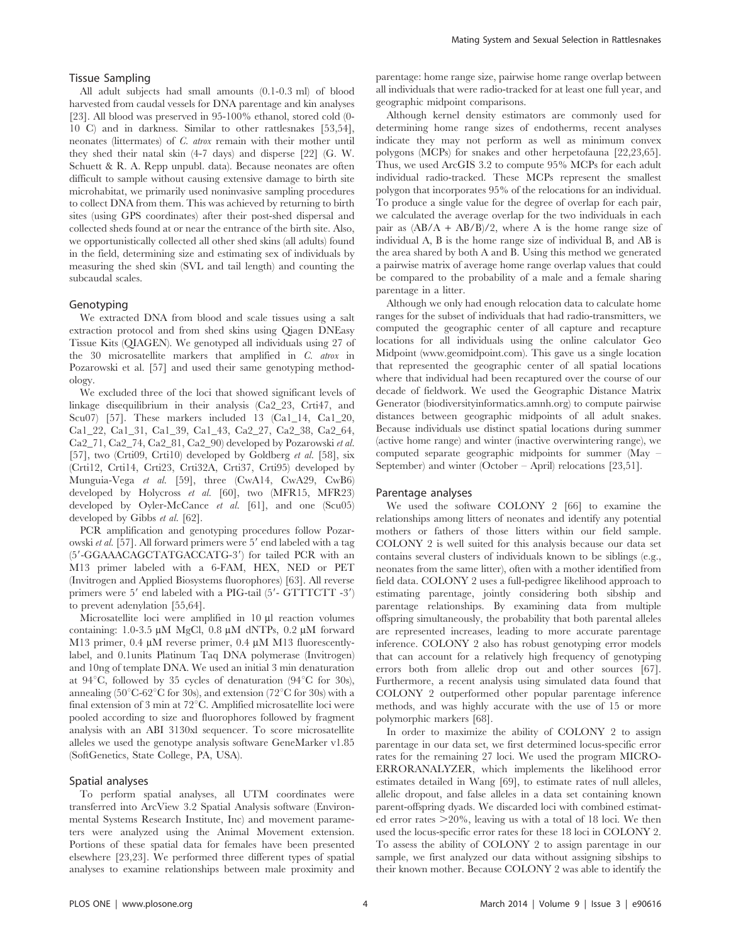#### Tissue Sampling

All adult subjects had small amounts (0.1-0.3 ml) of blood harvested from caudal vessels for DNA parentage and kin analyses [23]. All blood was preserved in 95-100% ethanol, stored cold (0- 10 C) and in darkness. Similar to other rattlesnakes [53,54], neonates (littermates) of C. atrox remain with their mother until they shed their natal skin (4-7 days) and disperse [22] (G. W. Schuett & R. A. Repp unpubl. data). Because neonates are often difficult to sample without causing extensive damage to birth site microhabitat, we primarily used noninvasive sampling procedures to collect DNA from them. This was achieved by returning to birth sites (using GPS coordinates) after their post-shed dispersal and collected sheds found at or near the entrance of the birth site. Also, we opportunistically collected all other shed skins (all adults) found in the field, determining size and estimating sex of individuals by measuring the shed skin (SVL and tail length) and counting the subcaudal scales.

## Genotyping

We extracted DNA from blood and scale tissues using a salt extraction protocol and from shed skins using Qiagen DNEasy Tissue Kits (QIAGEN). We genotyped all individuals using 27 of the 30 microsatellite markers that amplified in C. atrox in Pozarowski et al. [57] and used their same genotyping methodology.

We excluded three of the loci that showed significant levels of linkage disequilibrium in their analysis (Ca2\_23, Crti47, and Scu07) [57]. These markers included 13 (Ca1\_14, Ca1\_20, Ca1\_22, Ca1\_31, Ca1\_39, Ca1\_43, Ca2\_27, Ca2\_38, Ca2\_64, Ca2\_71, Ca2\_74, Ca2\_81, Ca2\_90) developed by Pozarowski et al. [57], two (Crti09, Crti10) developed by Goldberg et al. [58], six (Crti12, Crti14, Crti23, Crti32A, Crti37, Crti95) developed by Munguia-Vega et al. [59], three (CwA14, CwA29, CwB6) developed by Holycross et al. [60], two (MFR15, MFR23) developed by Oyler-McCance et al. [61], and one (Scu05) developed by Gibbs et al. [62].

PCR amplification and genotyping procedures follow Pozarowski et al. [57]. All forward primers were  $5'$  end labeled with a tag (5'-GGAAACAGCTATGACCATG-3') for tailed PCR with an M13 primer labeled with a 6-FAM, HEX, NED or PET (Invitrogen and Applied Biosystems fluorophores) [63]. All reverse primers were 5' end labeled with a PIG-tail (5'- GTTTCTT -3') to prevent adenylation [55,64].

Microsatellite loci were amplified in 10 µl reaction volumes containing:  $1.0-3.5 \mu M$  MgCl,  $0.8 \mu M$  dNTPs,  $0.2 \mu M$  forward M13 primer,  $0.4 \mu M$  reverse primer,  $0.4 \mu M$  M13 fluorescentlylabel, and 0.1units Platinum Taq DNA polymerase (Invitrogen) and 10ng of template DNA. We used an initial 3 min denaturation at  $94^{\circ}$ C, followed by 35 cycles of denaturation  $(94^{\circ}$ C for 30s), annealing (50 $\degree$ C-62 $\degree$ C for 30s), and extension (72 $\degree$ C for 30s) with a final extension of 3 min at  $72^{\circ}$ C. Amplified microsatellite loci were pooled according to size and fluorophores followed by fragment analysis with an ABI 3130xl sequencer. To score microsatellite alleles we used the genotype analysis software GeneMarker v1.85 (SoftGenetics, State College, PA, USA).

### Spatial analyses

To perform spatial analyses, all UTM coordinates were transferred into ArcView 3.2 Spatial Analysis software (Environmental Systems Research Institute, Inc) and movement parameters were analyzed using the Animal Movement extension. Portions of these spatial data for females have been presented elsewhere [23,23]. We performed three different types of spatial analyses to examine relationships between male proximity and parentage: home range size, pairwise home range overlap between all individuals that were radio-tracked for at least one full year, and geographic midpoint comparisons.

Although kernel density estimators are commonly used for determining home range sizes of endotherms, recent analyses indicate they may not perform as well as minimum convex polygons (MCPs) for snakes and other herpetofauna [22,23,65]. Thus, we used ArcGIS 3.2 to compute 95% MCPs for each adult individual radio-tracked. These MCPs represent the smallest polygon that incorporates 95% of the relocations for an individual. To produce a single value for the degree of overlap for each pair, we calculated the average overlap for the two individuals in each pair as  $(AB/A + AB/B)/2$ , where A is the home range size of individual A, B is the home range size of individual B, and AB is the area shared by both A and B. Using this method we generated a pairwise matrix of average home range overlap values that could be compared to the probability of a male and a female sharing parentage in a litter.

Although we only had enough relocation data to calculate home ranges for the subset of individuals that had radio-transmitters, we computed the geographic center of all capture and recapture locations for all individuals using the online calculator Geo Midpoint (www.geomidpoint.com). This gave us a single location that represented the geographic center of all spatial locations where that individual had been recaptured over the course of our decade of fieldwork. We used the Geographic Distance Matrix Generator (biodiversityinformatics.amnh.org) to compute pairwise distances between geographic midpoints of all adult snakes. Because individuals use distinct spatial locations during summer (active home range) and winter (inactive overwintering range), we computed separate geographic midpoints for summer (May – September) and winter (October – April) relocations [23,51].

#### Parentage analyses

We used the software COLONY 2 [66] to examine the relationships among litters of neonates and identify any potential mothers or fathers of those litters within our field sample. COLONY 2 is well suited for this analysis because our data set contains several clusters of individuals known to be siblings (e.g., neonates from the same litter), often with a mother identified from field data. COLONY 2 uses a full-pedigree likelihood approach to estimating parentage, jointly considering both sibship and parentage relationships. By examining data from multiple offspring simultaneously, the probability that both parental alleles are represented increases, leading to more accurate parentage inference. COLONY 2 also has robust genotyping error models that can account for a relatively high frequency of genotyping errors both from allelic drop out and other sources [67]. Furthermore, a recent analysis using simulated data found that COLONY 2 outperformed other popular parentage inference methods, and was highly accurate with the use of 15 or more polymorphic markers [68].

In order to maximize the ability of COLONY 2 to assign parentage in our data set, we first determined locus-specific error rates for the remaining 27 loci. We used the program MICRO-ERRORANALYZER, which implements the likelihood error estimates detailed in Wang [69], to estimate rates of null alleles, allelic dropout, and false alleles in a data set containing known parent-offspring dyads. We discarded loci with combined estimated error rates  $>20\%$ , leaving us with a total of 18 loci. We then used the locus-specific error rates for these 18 loci in COLONY 2. To assess the ability of COLONY 2 to assign parentage in our sample, we first analyzed our data without assigning sibships to their known mother. Because COLONY 2 was able to identify the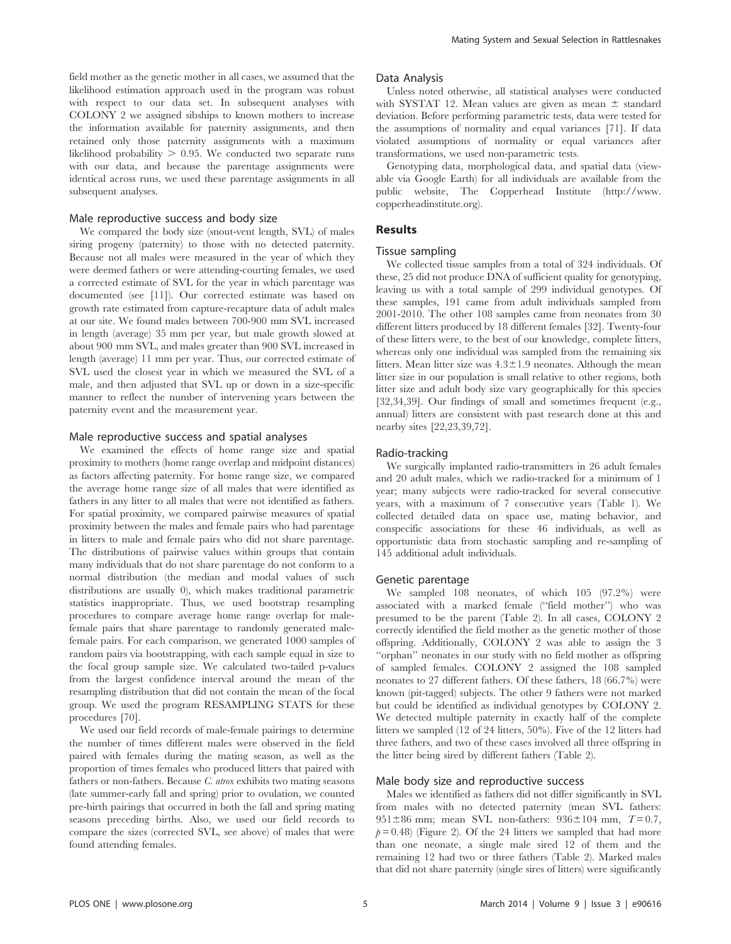field mother as the genetic mother in all cases, we assumed that the likelihood estimation approach used in the program was robust with respect to our data set. In subsequent analyses with COLONY 2 we assigned sibships to known mothers to increase the information available for paternity assignments, and then retained only those paternity assignments with a maximum likelihood probability  $> 0.95$ . We conducted two separate runs with our data, and because the parentage assignments were identical across runs, we used these parentage assignments in all subsequent analyses.

## Male reproductive success and body size

We compared the body size (snout-vent length, SVL) of males siring progeny (paternity) to those with no detected paternity. Because not all males were measured in the year of which they were deemed fathers or were attending-courting females, we used a corrected estimate of SVL for the year in which parentage was documented (see [11]). Our corrected estimate was based on growth rate estimated from capture-recapture data of adult males at our site. We found males between 700-900 mm SVL increased in length (average) 35 mm per year, but male growth slowed at about 900 mm SVL, and males greater than 900 SVL increased in length (average) 11 mm per year. Thus, our corrected estimate of SVL used the closest year in which we measured the SVL of a male, and then adjusted that SVL up or down in a size-specific manner to reflect the number of intervening years between the paternity event and the measurement year.

#### Male reproductive success and spatial analyses

We examined the effects of home range size and spatial proximity to mothers (home range overlap and midpoint distances) as factors affecting paternity. For home range size, we compared the average home range size of all males that were identified as fathers in any litter to all males that were not identified as fathers. For spatial proximity, we compared pairwise measures of spatial proximity between the males and female pairs who had parentage in litters to male and female pairs who did not share parentage. The distributions of pairwise values within groups that contain many individuals that do not share parentage do not conform to a normal distribution (the median and modal values of such distributions are usually 0), which makes traditional parametric statistics inappropriate. Thus, we used bootstrap resampling procedures to compare average home range overlap for malefemale pairs that share parentage to randomly generated malefemale pairs. For each comparison, we generated 1000 samples of random pairs via bootstrapping, with each sample equal in size to the focal group sample size. We calculated two-tailed p-values from the largest confidence interval around the mean of the resampling distribution that did not contain the mean of the focal group. We used the program RESAMPLING STATS for these procedures [70].

We used our field records of male-female pairings to determine the number of times different males were observed in the field paired with females during the mating season, as well as the proportion of times females who produced litters that paired with fathers or non-fathers. Because C. atrox exhibits two mating seasons (late summer-early fall and spring) prior to ovulation, we counted pre-birth pairings that occurred in both the fall and spring mating seasons preceding births. Also, we used our field records to compare the sizes (corrected SVL, see above) of males that were found attending females.

## Data Analysis

Unless noted otherwise, all statistical analyses were conducted with SYSTAT 12. Mean values are given as mean  $\pm$  standard deviation. Before performing parametric tests, data were tested for the assumptions of normality and equal variances [71]. If data violated assumptions of normality or equal variances after transformations, we used non-parametric tests.

Genotyping data, morphological data, and spatial data (viewable via Google Earth) for all individuals are available from the public website, The Copperhead Institute ([http://www.](http://www.copperheadinstitute.org) [copperheadinstitute.org](http://www.copperheadinstitute.org)).

## **Results**

#### Tissue sampling

We collected tissue samples from a total of 324 individuals. Of these, 25 did not produce DNA of sufficient quality for genotyping, leaving us with a total sample of 299 individual genotypes. Of these samples, 191 came from adult individuals sampled from 2001-2010. The other 108 samples came from neonates from 30 different litters produced by 18 different females [32]. Twenty-four of these litters were, to the best of our knowledge, complete litters, whereas only one individual was sampled from the remaining six litters. Mean litter size was  $4.3 \pm 1.9$  neonates. Although the mean litter size in our population is small relative to other regions, both litter size and adult body size vary geographically for this species [32,34,39]. Our findings of small and sometimes frequent (e.g., annual) litters are consistent with past research done at this and nearby sites [22,23,39,72].

#### Radio-tracking

We surgically implanted radio-transmitters in 26 adult females and 20 adult males, which we radio-tracked for a minimum of 1 year; many subjects were radio-tracked for several consecutive years, with a maximum of 7 consecutive years (Table 1). We collected detailed data on space use, mating behavior, and conspecific associations for these 46 individuals, as well as opportunistic data from stochastic sampling and re-sampling of 145 additional adult individuals.

## Genetic parentage

We sampled 108 neonates, of which 105 (97.2%) were associated with a marked female (''field mother'') who was presumed to be the parent (Table 2). In all cases, COLONY 2 correctly identified the field mother as the genetic mother of those offspring. Additionally, COLONY 2 was able to assign the 3 ''orphan'' neonates in our study with no field mother as offspring of sampled females. COLONY 2 assigned the 108 sampled neonates to 27 different fathers. Of these fathers, 18 (66.7%) were known (pit-tagged) subjects. The other 9 fathers were not marked but could be identified as individual genotypes by COLONY 2. We detected multiple paternity in exactly half of the complete litters we sampled (12 of 24 litters, 50%). Five of the 12 litters had three fathers, and two of these cases involved all three offspring in the litter being sired by different fathers (Table 2).

## Male body size and reproductive success

Males we identified as fathers did not differ significantly in SVL from males with no detected paternity (mean SVL fathers: 951 $\pm$ 86 mm; mean SVL non-fathers: 936 $\pm$ 104 mm, T= 0.7,  $p= 0.48$ ) (Figure 2). Of the 24 litters we sampled that had more than one neonate, a single male sired 12 of them and the remaining 12 had two or three fathers (Table 2). Marked males that did not share paternity (single sires of litters) were significantly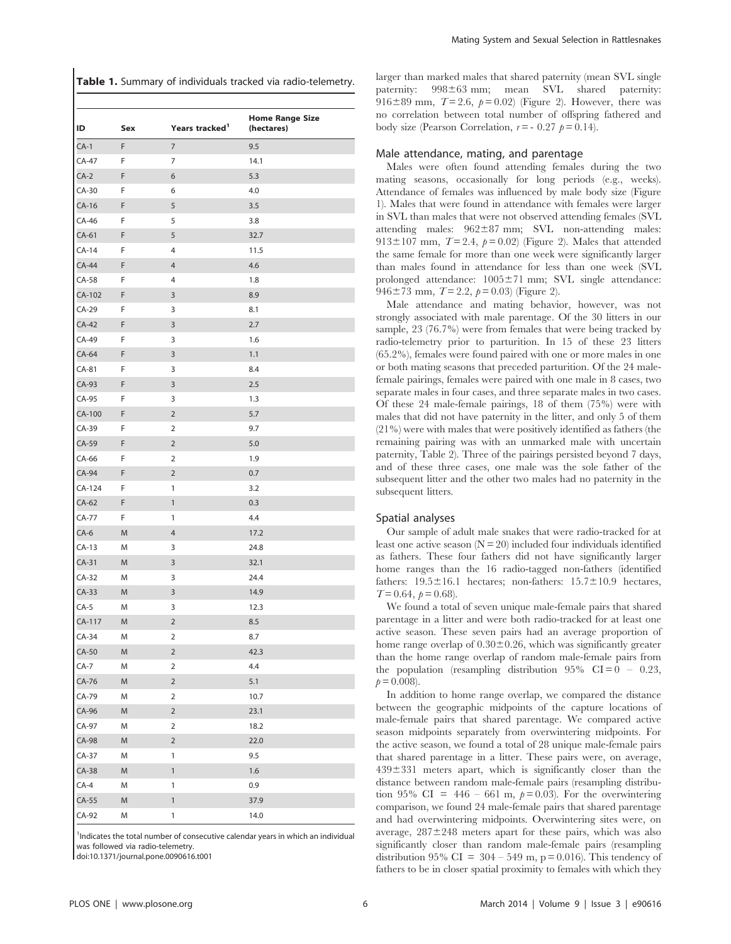Table 1. Summary of individuals tracked via radio-telemetry.

| ID       | Sex | Years tracked <sup>1</sup> | <b>Home Range Size</b><br>(hectares) |
|----------|-----|----------------------------|--------------------------------------|
| $CA-1$   | F   | $\overline{7}$             | 9.5                                  |
| CA-47    | F   | 7                          | 14.1                                 |
| $CA-2$   | F   | 6                          | 5.3                                  |
| $CA-30$  | F   | 6                          | 4.0                                  |
| $CA-16$  | F   | 5                          | 3.5                                  |
| CA-46    | F   | 5                          | 3.8                                  |
| $CA-61$  | F   | 5                          | 32.7                                 |
| $CA-14$  | F   | 4                          | 11.5                                 |
| $CA-44$  | F   | $\overline{4}$             | 4.6                                  |
| CA-58    | F   | 4                          | 1.8                                  |
| CA-102   | F   | 3                          | 8.9                                  |
| CA-29    | F   | 3                          | 8.1                                  |
| $CA-42$  | F   | 3                          | 2.7                                  |
| CA-49    | F   | 3                          | 1.6                                  |
| CA-64    | F   | 3                          | 1.1                                  |
| $CA-81$  | F   | 3                          | 8.4                                  |
| CA-93    | F   | 3                          | 2.5                                  |
| CA-95    | F   | 3                          | 1.3                                  |
| CA-100   | F   | $\overline{2}$             | 5.7                                  |
| $CA-39$  | F   | 2                          | 9.7                                  |
| CA-59    | F   | $\overline{2}$             | 5.0                                  |
| CA-66    | F   | $\overline{2}$             | 1.9                                  |
| $CA-94$  | F   | $\overline{2}$             | 0.7                                  |
| $CA-124$ | F   | 1                          | 3.2                                  |
| $CA-62$  | F   | $\mathbf{1}$               | 0.3                                  |
| CA-77    | F   | 1                          | 4.4                                  |
| $CA-6$   | M   | $\overline{4}$             | 17.2                                 |
| $CA-13$  | M   | 3                          | 24.8                                 |
| $CA-31$  | M   | 3                          | 32.1                                 |
| $CA-32$  | M   | 3                          | 24.4                                 |
| $CA-33$  | M   | 3                          | 14.9                                 |
| $CA-5$   | M   | 3                          | 12.3                                 |
| CA-117   | M   | $\overline{2}$             | 8.5                                  |
| $CA-34$  | M   | $\overline{2}$             | 8.7                                  |
| $CA-50$  | M   | $\overline{2}$             | 42.3                                 |
| $CA-7$   | M   | 2                          | 4.4                                  |
| CA-76    | M   | $\overline{2}$             | 5.1                                  |
| CA-79    | M   | $\overline{2}$             | 10.7                                 |
| CA-96    | M   | $\overline{2}$             | 23.1                                 |
| CA-97    | M   | $\overline{2}$             | 18.2                                 |
| CA-98    | M   | $\overline{2}$             | 22.0                                 |
| CA-37    | M   | 1                          | 9.5                                  |
| $CA-38$  | M   | $\mathbf{1}$               | 1.6                                  |
| $CA-4$   | M   | 1                          | 0.9                                  |
| CA-55    | M   | $\mathbf{1}$               | 37.9                                 |
| CA-92    | M   | 1                          | 14.0                                 |

<sup>1</sup>Indicates the total number of consecutive calendar years in which an individual was followed via radio-telemetry.

doi:10.1371/journal.pone.0090616.t001

larger than marked males that shared paternity (mean SVL single paternity:  $998\pm63$  mm; mean SVL shared paternity: 916 $\pm$ 89 mm,  $T= 2.6$ ,  $p= 0.02$ ) (Figure 2). However, there was no correlation between total number of offspring fathered and body size (Pearson Correlation,  $r = -0.27$   $p = 0.14$ ).

#### Male attendance, mating, and parentage

Males were often found attending females during the two mating seasons, occasionally for long periods (e.g., weeks). Attendance of females was influenced by male body size (Figure 1). Males that were found in attendance with females were larger in SVL than males that were not observed attending females (SVL attending males:  $962 \pm 87$  mm; SVL non-attending males: 913 $\pm$ 107 mm, T= 2.4,  $p = 0.02$ ) (Figure 2). Males that attended the same female for more than one week were significantly larger than males found in attendance for less than one week (SVL prolonged attendance:  $1005 \pm 71$  mm; SVL single attendance: 946 $\pm$ 73 mm, T= 2.2,  $p = 0.03$  (Figure 2).

Male attendance and mating behavior, however, was not strongly associated with male parentage. Of the 30 litters in our sample, 23 (76.7%) were from females that were being tracked by radio-telemetry prior to parturition. In 15 of these 23 litters (65.2%), females were found paired with one or more males in one or both mating seasons that preceded parturition. Of the 24 malefemale pairings, females were paired with one male in 8 cases, two separate males in four cases, and three separate males in two cases. Of these 24 male-female pairings, 18 of them (75%) were with males that did not have paternity in the litter, and only 5 of them (21%) were with males that were positively identified as fathers (the remaining pairing was with an unmarked male with uncertain paternity, Table 2). Three of the pairings persisted beyond 7 days, and of these three cases, one male was the sole father of the subsequent litter and the other two males had no paternity in the subsequent litters.

## Spatial analyses

Our sample of adult male snakes that were radio-tracked for at least one active season  $(N = 20)$  included four individuals identified as fathers. These four fathers did not have significantly larger home ranges than the 16 radio-tagged non-fathers (identified fathers:  $19.5 \pm 16.1$  hectares; non-fathers:  $15.7 \pm 10.9$  hectares,  $T= 0.64, p= 0.68$ .

We found a total of seven unique male-female pairs that shared parentage in a litter and were both radio-tracked for at least one active season. These seven pairs had an average proportion of home range overlap of  $0.30 \pm 0.26$ , which was significantly greater than the home range overlap of random male-female pairs from the population (resampling distribution 95% CI =  $0 - 0.23$ ,  $p = 0.008$ ).

In addition to home range overlap, we compared the distance between the geographic midpoints of the capture locations of male-female pairs that shared parentage. We compared active season midpoints separately from overwintering midpoints. For the active season, we found a total of 28 unique male-female pairs that shared parentage in a litter. These pairs were, on average,  $439\pm331$  meters apart, which is significantly closer than the distance between random male-female pairs (resampling distribution 95% CI = 446 – 661 m,  $p = 0.03$ ). For the overwintering comparison, we found 24 male-female pairs that shared parentage and had overwintering midpoints. Overwintering sites were, on average,  $287\pm248$  meters apart for these pairs, which was also significantly closer than random male-female pairs (resampling distribution 95% CI =  $304 - 549$  m, p = 0.016). This tendency of fathers to be in closer spatial proximity to females with which they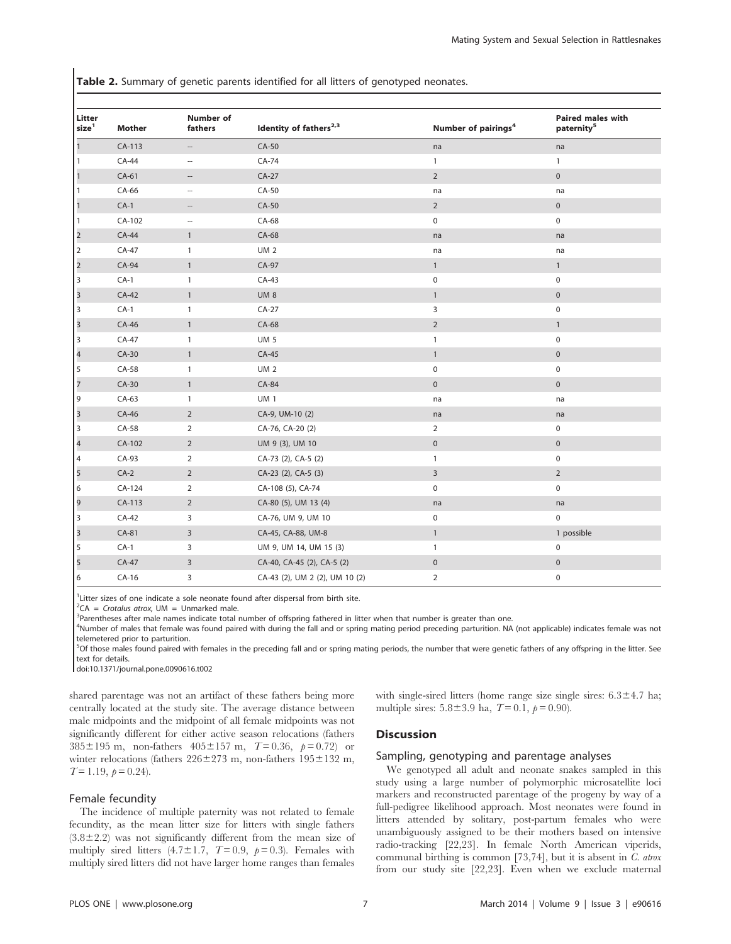Table 2. Summary of genetic parents identified for all litters of genotyped neonates.

| Litter<br>size <sup>1</sup> | Mother   | <b>Number of</b><br>fathers | Identity of fathers <sup>2,3</sup> | Number of pairings <sup>4</sup> | <b>Paired males with</b><br>paternity <sup>5</sup> |
|-----------------------------|----------|-----------------------------|------------------------------------|---------------------------------|----------------------------------------------------|
| $\mathbf{1}$                | $CA-113$ | $\ldots$                    | $CA-50$                            | na                              | na                                                 |
| $\vert$ 1                   | $CA-44$  | $\overline{\phantom{a}}$    | $CA-74$                            | $\mathbf{1}$                    | $\mathbf{1}$                                       |
| $\overline{1}$              | $CA-61$  | $\hspace{0.05cm} -$         | $CA-27$                            | $\overline{2}$                  | $\pmb{0}$                                          |
| $\vert$ 1                   | CA-66    | $\hspace{0.05cm}$           | $CA-50$                            | na                              | na                                                 |
| $\overline{\phantom{a}}$    | $CA-1$   | $\qquad \qquad -$           | $CA-50$                            | $\overline{2}$                  | $\pmb{0}$                                          |
| $\vert$ 1                   | CA-102   | $\overline{\phantom{a}}$    | CA-68                              | $\mathbf 0$                     | $\pmb{0}$                                          |
| $\vert$ <sub>2</sub>        | $CA-44$  | $\mathbf{1}$                | $CA-68$                            | na                              | na                                                 |
| $\vert$ <sub>2</sub>        | $CA-47$  | $\mathbf{1}$                | <b>UM 2</b>                        | na                              | na                                                 |
| $\vert$ <sub>2</sub>        | $CA-94$  | $\mathbf{1}$                | CA-97                              | $\mathbf{1}$                    | $\mathbf{1}$                                       |
| $\vert$ 3                   | $CA-1$   | $\mathbf{1}$                | $CA-43$                            | $\mathsf 0$                     | $\pmb{0}$                                          |
| $\vert$ <sub>3</sub>        | $CA-42$  | $\overline{1}$              | <b>UM8</b>                         | $\mathbf{1}$                    | $\mathbf 0$                                        |
| $\vert$ 3                   | $CA-1$   | $\mathbf{1}$                | $CA-27$                            | 3                               | $\pmb{0}$                                          |
| $\vert$ <sub>3</sub>        | $CA-46$  | $\mathbf{1}$                | $CA-68$                            | $\overline{2}$                  | $\mathbf{1}$                                       |
| $\vert$ 3                   | $CA-47$  | $\mathbf{1}$                | <b>UM 5</b>                        | $\mathbf{1}$                    | $\pmb{0}$                                          |
| $\vert_4$                   | $CA-30$  | $\mathbf{1}$                | $CA-45$                            | $\mathbf{1}$                    | $\mathbf 0$                                        |
| 5                           | $CA-58$  | $\mathbf{1}$                | <b>UM 2</b>                        | $\mathsf 0$                     | $\pmb{0}$                                          |
| $\overline{7}$              | $CA-30$  | $\mathbf{1}$                | $CA-84$                            | $\mathsf{O}\xspace$             | $\mathbf 0$                                        |
| 9                           | $CA-63$  | $\mathbf{1}$                | <b>UM1</b>                         | na                              | na                                                 |
| $\vert$ <sub>3</sub>        | $CA-46$  | $\overline{2}$              | CA-9, UM-10 (2)                    | na                              | na                                                 |
| $\vert$ 3                   | $CA-58$  | $\overline{2}$              | CA-76, CA-20 (2)                   | $\overline{2}$                  | $\mathsf 0$                                        |
| $\vert$ 4                   | CA-102   | $\sqrt{2}$                  | UM 9 (3), UM 10                    | $\mathsf{O}\xspace$             | $\mathbf 0$                                        |
| 4                           | $CA-93$  | $\overline{2}$              | CA-73 (2), CA-5 (2)                | $\mathbf{1}$                    | $\mathsf 0$                                        |
| $\overline{\phantom{a}}$    | $CA-2$   | $\overline{2}$              | CA-23 (2), CA-5 (3)                | $\overline{3}$                  | $\overline{2}$                                     |
| 6                           | $CA-124$ | 2                           | CA-108 (5), CA-74                  | $\mathsf 0$                     | $\mathsf 0$                                        |
| $\overline{9}$              | $CA-113$ | $\overline{2}$              | CA-80 (5), UM 13 (4)               | na                              | na                                                 |
| 3                           | $CA-42$  | 3                           | CA-76, UM 9, UM 10                 | $\mathbf 0$                     | $\mathbf 0$                                        |
| $\overline{\mathbf{3}}$     | $CA-81$  | $\overline{3}$              | CA-45, CA-88, UM-8                 | $\mathbf{1}$                    | 1 possible                                         |
| 5                           | $CA-1$   | 3                           | UM 9, UM 14, UM 15 (3)             | $\mathbf{1}$                    | $\mathbf 0$                                        |
| $\vert$ <sub>5</sub>        | $CA-47$  | 3                           | CA-40, CA-45 (2), CA-5 (2)         | $\boldsymbol{0}$                | $\boldsymbol{0}$                                   |
| 6                           | $CA-16$  | 3                           | CA-43 (2), UM 2 (2), UM 10 (2)     | $\overline{2}$                  | $\pmb{0}$                                          |

<sup>1</sup>Litter sizes of one indicate a sole neonate found after dispersal from birth site.

 $^2$ CA = Crotalus atrox. UM = Unmarked male.

<sup>2</sup>CA = *Crotalus atrox,* UM = Unmarked male.<br><sup>3</sup>Parentheses after male names indicate total number of offspring fathered in litter when that number is greater than one.

<sup>4</sup>Number of males that female was found paired with during the fall and or spring mating period preceding parturition. NA (not applicable) indicates female was not telemetered prior to parturition.

5 Of those males found paired with females in the preceding fall and or spring mating periods, the number that were genetic fathers of any offspring in the litter. See text for details.

doi:10.1371/journal.pone.0090616.t002

shared parentage was not an artifact of these fathers being more centrally located at the study site. The average distance between male midpoints and the midpoint of all female midpoints was not significantly different for either active season relocations (fathers  $385\pm195$  m, non-fathers  $405\pm157$  m,  $T= 0.36$ ,  $p=0.72$ ) or winter relocations (fathers  $226 \pm 273$  m, non-fathers  $195 \pm 132$  m,  $T= 1.19, p= 0.24.$ 

## Female fecundity

The incidence of multiple paternity was not related to female fecundity, as the mean litter size for litters with single fathers  $(3.8\pm2.2)$  was not significantly different from the mean size of multiply sired litters (4.7±1.7,  $T=0.9$ ,  $p=0.3$ ). Females with multiply sired litters did not have larger home ranges than females with single-sired litters (home range size single sires:  $6.3 \pm 4.7$  ha; multiple sires:  $5.8 \pm 3.9$  ha,  $T = 0.1$ ,  $p = 0.90$ ).

## **Discussion**

#### Sampling, genotyping and parentage analyses

We genotyped all adult and neonate snakes sampled in this study using a large number of polymorphic microsatellite loci markers and reconstructed parentage of the progeny by way of a full-pedigree likelihood approach. Most neonates were found in litters attended by solitary, post-partum females who were unambiguously assigned to be their mothers based on intensive radio-tracking [22,23]. In female North American viperids, communal birthing is common [73,74], but it is absent in C. atrox from our study site [22,23]. Even when we exclude maternal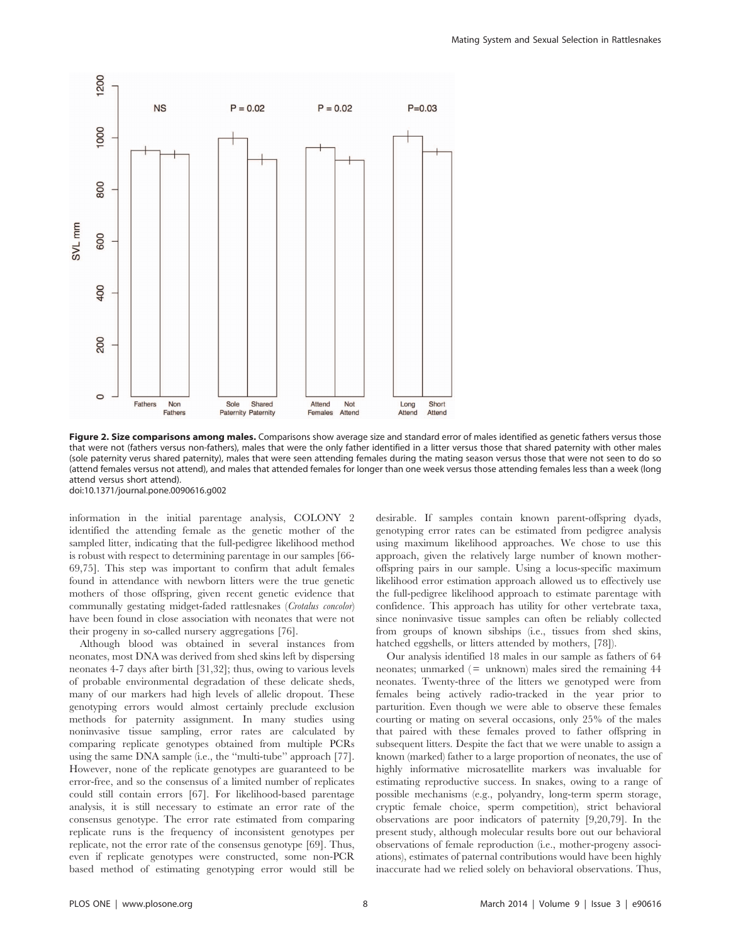

Figure 2. Size comparisons among males. Comparisons show average size and standard error of males identified as genetic fathers versus those that were not (fathers versus non-fathers), males that were the only father identified in a litter versus those that shared paternity with other males (sole paternity verus shared paternity), males that were seen attending females during the mating season versus those that were not seen to do so (attend females versus not attend), and males that attended females for longer than one week versus those attending females less than a week (long attend versus short attend).

doi:10.1371/journal.pone.0090616.g002

information in the initial parentage analysis, COLONY 2 identified the attending female as the genetic mother of the sampled litter, indicating that the full-pedigree likelihood method is robust with respect to determining parentage in our samples [66- 69,75]. This step was important to confirm that adult females found in attendance with newborn litters were the true genetic mothers of those offspring, given recent genetic evidence that communally gestating midget-faded rattlesnakes (Crotalus concolor) have been found in close association with neonates that were not their progeny in so-called nursery aggregations [76].

Although blood was obtained in several instances from neonates, most DNA was derived from shed skins left by dispersing neonates 4-7 days after birth [31,32]; thus, owing to various levels of probable environmental degradation of these delicate sheds, many of our markers had high levels of allelic dropout. These genotyping errors would almost certainly preclude exclusion methods for paternity assignment. In many studies using noninvasive tissue sampling, error rates are calculated by comparing replicate genotypes obtained from multiple PCRs using the same DNA sample (i.e., the ''multi-tube'' approach [77]. However, none of the replicate genotypes are guaranteed to be error-free, and so the consensus of a limited number of replicates could still contain errors [67]. For likelihood-based parentage analysis, it is still necessary to estimate an error rate of the consensus genotype. The error rate estimated from comparing replicate runs is the frequency of inconsistent genotypes per replicate, not the error rate of the consensus genotype [69]. Thus, even if replicate genotypes were constructed, some non-PCR based method of estimating genotyping error would still be desirable. If samples contain known parent-offspring dyads, genotyping error rates can be estimated from pedigree analysis using maximum likelihood approaches. We chose to use this approach, given the relatively large number of known motheroffspring pairs in our sample. Using a locus-specific maximum likelihood error estimation approach allowed us to effectively use the full-pedigree likelihood approach to estimate parentage with confidence. This approach has utility for other vertebrate taxa, since noninvasive tissue samples can often be reliably collected from groups of known sibships (i.e., tissues from shed skins, hatched eggshells, or litters attended by mothers, [78]).

Our analysis identified 18 males in our sample as fathers of 64 neonates; unmarked  $($  = unknown) males sired the remaining  $44$ neonates. Twenty-three of the litters we genotyped were from females being actively radio-tracked in the year prior to parturition. Even though we were able to observe these females courting or mating on several occasions, only 25% of the males that paired with these females proved to father offspring in subsequent litters. Despite the fact that we were unable to assign a known (marked) father to a large proportion of neonates, the use of highly informative microsatellite markers was invaluable for estimating reproductive success. In snakes, owing to a range of possible mechanisms (e.g., polyandry, long-term sperm storage, cryptic female choice, sperm competition), strict behavioral observations are poor indicators of paternity [9,20,79]. In the present study, although molecular results bore out our behavioral observations of female reproduction (i.e., mother-progeny associations), estimates of paternal contributions would have been highly inaccurate had we relied solely on behavioral observations. Thus,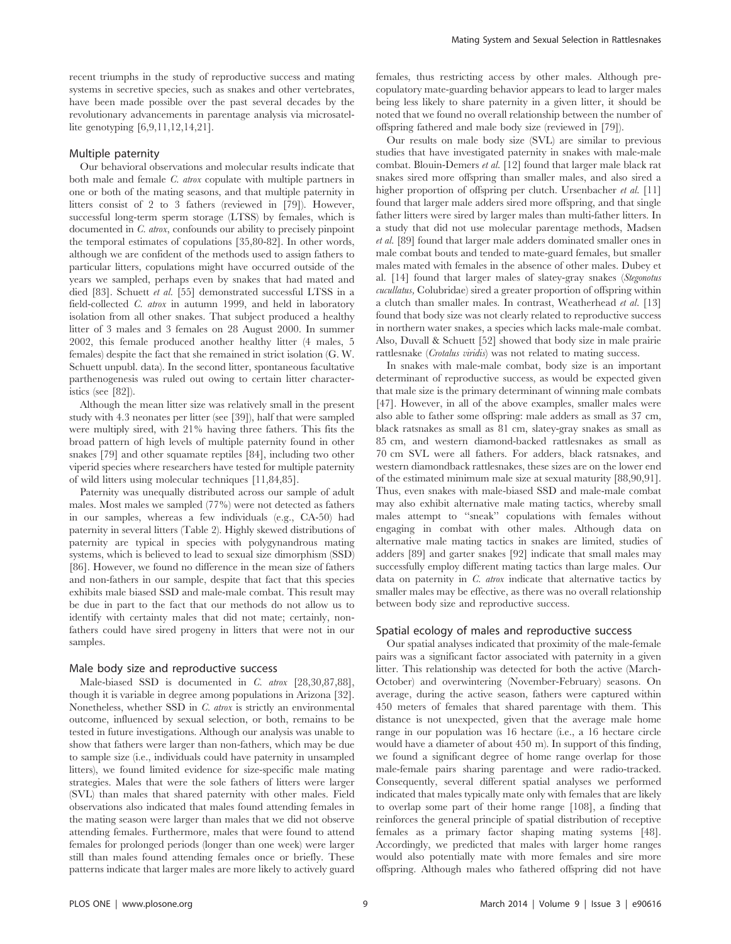recent triumphs in the study of reproductive success and mating systems in secretive species, such as snakes and other vertebrates, have been made possible over the past several decades by the revolutionary advancements in parentage analysis via microsatellite genotyping [6,9,11,12,14,21].

#### Multiple paternity

Our behavioral observations and molecular results indicate that both male and female C. atrox copulate with multiple partners in one or both of the mating seasons, and that multiple paternity in litters consist of 2 to 3 fathers (reviewed in [79]). However, successful long-term sperm storage (LTSS) by females, which is documented in C. atrox, confounds our ability to precisely pinpoint the temporal estimates of copulations [35,80-82]. In other words, although we are confident of the methods used to assign fathers to particular litters, copulations might have occurred outside of the years we sampled, perhaps even by snakes that had mated and died [83]. Schuett et al. [55] demonstrated successful LTSS in a field-collected C. atrox in autumn 1999, and held in laboratory isolation from all other snakes. That subject produced a healthy litter of 3 males and 3 females on 28 August 2000. In summer 2002, this female produced another healthy litter (4 males, 5 females) despite the fact that she remained in strict isolation (G. W. Schuett unpubl. data). In the second litter, spontaneous facultative parthenogenesis was ruled out owing to certain litter characteristics (see [82]).

Although the mean litter size was relatively small in the present study with 4.3 neonates per litter (see [39]), half that were sampled were multiply sired, with 21% having three fathers. This fits the broad pattern of high levels of multiple paternity found in other snakes [79] and other squamate reptiles [84], including two other viperid species where researchers have tested for multiple paternity of wild litters using molecular techniques [11,84,85].

Paternity was unequally distributed across our sample of adult males. Most males we sampled (77%) were not detected as fathers in our samples, whereas a few individuals (e.g., CA-50) had paternity in several litters (Table 2). Highly skewed distributions of paternity are typical in species with polygynandrous mating systems, which is believed to lead to sexual size dimorphism (SSD) [86]. However, we found no difference in the mean size of fathers and non-fathers in our sample, despite that fact that this species exhibits male biased SSD and male-male combat. This result may be due in part to the fact that our methods do not allow us to identify with certainty males that did not mate; certainly, nonfathers could have sired progeny in litters that were not in our samples.

#### Male body size and reproductive success

Male-biased SSD is documented in C. atrox [28,30,87,88], though it is variable in degree among populations in Arizona [32]. Nonetheless, whether SSD in C. atrox is strictly an environmental outcome, influenced by sexual selection, or both, remains to be tested in future investigations. Although our analysis was unable to show that fathers were larger than non-fathers, which may be due to sample size (i.e., individuals could have paternity in unsampled litters), we found limited evidence for size-specific male mating strategies. Males that were the sole fathers of litters were larger (SVL) than males that shared paternity with other males. Field observations also indicated that males found attending females in the mating season were larger than males that we did not observe attending females. Furthermore, males that were found to attend females for prolonged periods (longer than one week) were larger still than males found attending females once or briefly. These patterns indicate that larger males are more likely to actively guard females, thus restricting access by other males. Although precopulatory mate-guarding behavior appears to lead to larger males being less likely to share paternity in a given litter, it should be noted that we found no overall relationship between the number of offspring fathered and male body size (reviewed in [79]).

Our results on male body size (SVL) are similar to previous studies that have investigated paternity in snakes with male-male combat. Blouin-Demers et al. [12] found that larger male black rat snakes sired more offspring than smaller males, and also sired a higher proportion of offspring per clutch. Ursenbacher et al. [11] found that larger male adders sired more offspring, and that single father litters were sired by larger males than multi-father litters. In a study that did not use molecular parentage methods, Madsen et al. [89] found that larger male adders dominated smaller ones in male combat bouts and tended to mate-guard females, but smaller males mated with females in the absence of other males. Dubey et al. [14] found that larger males of slatey-gray snakes (Stegonotus cucullatus, Colubridae) sired a greater proportion of offspring within a clutch than smaller males. In contrast, Weatherhead et al. [13] found that body size was not clearly related to reproductive success in northern water snakes, a species which lacks male-male combat. Also, Duvall & Schuett [52] showed that body size in male prairie rattlesnake (Crotalus viridis) was not related to mating success.

In snakes with male-male combat, body size is an important determinant of reproductive success, as would be expected given that male size is the primary determinant of winning male combats [47]. However, in all of the above examples, smaller males were also able to father some offspring: male adders as small as 37 cm, black ratsnakes as small as 81 cm, slatey-gray snakes as small as 85 cm, and western diamond-backed rattlesnakes as small as 70 cm SVL were all fathers. For adders, black ratsnakes, and western diamondback rattlesnakes, these sizes are on the lower end of the estimated minimum male size at sexual maturity [88,90,91]. Thus, even snakes with male-biased SSD and male-male combat may also exhibit alternative male mating tactics, whereby small males attempt to ''sneak'' copulations with females without engaging in combat with other males. Although data on alternative male mating tactics in snakes are limited, studies of adders [89] and garter snakes [92] indicate that small males may successfully employ different mating tactics than large males. Our data on paternity in C. atrox indicate that alternative tactics by smaller males may be effective, as there was no overall relationship between body size and reproductive success.

#### Spatial ecology of males and reproductive success

Our spatial analyses indicated that proximity of the male-female pairs was a significant factor associated with paternity in a given litter. This relationship was detected for both the active (March-October) and overwintering (November-February) seasons. On average, during the active season, fathers were captured within 450 meters of females that shared parentage with them. This distance is not unexpected, given that the average male home range in our population was 16 hectare (i.e., a 16 hectare circle would have a diameter of about 450 m). In support of this finding, we found a significant degree of home range overlap for those male-female pairs sharing parentage and were radio-tracked. Consequently, several different spatial analyses we performed indicated that males typically mate only with females that are likely to overlap some part of their home range [108], a finding that reinforces the general principle of spatial distribution of receptive females as a primary factor shaping mating systems [48]. Accordingly, we predicted that males with larger home ranges would also potentially mate with more females and sire more offspring. Although males who fathered offspring did not have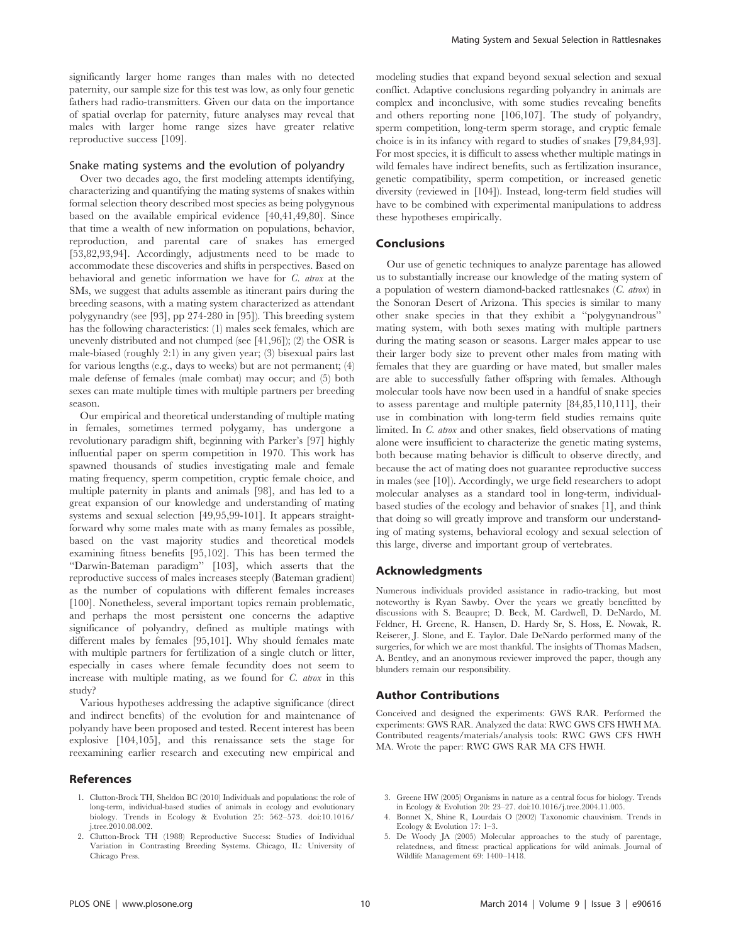significantly larger home ranges than males with no detected paternity, our sample size for this test was low, as only four genetic fathers had radio-transmitters. Given our data on the importance of spatial overlap for paternity, future analyses may reveal that males with larger home range sizes have greater relative reproductive success [109].

#### Snake mating systems and the evolution of polyandry

Over two decades ago, the first modeling attempts identifying, characterizing and quantifying the mating systems of snakes within formal selection theory described most species as being polygynous based on the available empirical evidence [40,41,49,80]. Since that time a wealth of new information on populations, behavior, reproduction, and parental care of snakes has emerged [53,82,93,94]. Accordingly, adjustments need to be made to accommodate these discoveries and shifts in perspectives. Based on behavioral and genetic information we have for C. atrox at the SMs, we suggest that adults assemble as itinerant pairs during the breeding seasons, with a mating system characterized as attendant polygynandry (see [93], pp 274-280 in [95]). This breeding system has the following characteristics: (1) males seek females, which are unevenly distributed and not clumped (see [41,96]); (2) the OSR is male-biased (roughly 2:1) in any given year; (3) bisexual pairs last for various lengths (e.g., days to weeks) but are not permanent; (4) male defense of females (male combat) may occur; and (5) both sexes can mate multiple times with multiple partners per breeding season.

Our empirical and theoretical understanding of multiple mating in females, sometimes termed polygamy, has undergone a revolutionary paradigm shift, beginning with Parker's [97] highly influential paper on sperm competition in 1970. This work has spawned thousands of studies investigating male and female mating frequency, sperm competition, cryptic female choice, and multiple paternity in plants and animals [98], and has led to a great expansion of our knowledge and understanding of mating systems and sexual selection [49,95,99-101]. It appears straightforward why some males mate with as many females as possible, based on the vast majority studies and theoretical models examining fitness benefits [95,102]. This has been termed the ''Darwin-Bateman paradigm'' [103], which asserts that the reproductive success of males increases steeply (Bateman gradient) as the number of copulations with different females increases [100]. Nonetheless, several important topics remain problematic, and perhaps the most persistent one concerns the adaptive significance of polyandry, defined as multiple matings with different males by females [95,101]. Why should females mate with multiple partners for fertilization of a single clutch or litter, especially in cases where female fecundity does not seem to increase with multiple mating, as we found for C. atrox in this study?

Various hypotheses addressing the adaptive significance (direct and indirect benefits) of the evolution for and maintenance of polyandy have been proposed and tested. Recent interest has been explosive [104,105], and this renaissance sets the stage for reexamining earlier research and executing new empirical and

## References

- 1. Clutton-Brock TH, Sheldon BC (2010) Individuals and populations: the role of long-term, individual-based studies of animals in ecology and evolutionary biology. Trends in Ecology & Evolution 25: 562–573. doi:10.1016/ j.tree.2010.08.002.
- 2. Clutton-Brock TH (1988) Reproductive Success: Studies of Individual Variation in Contrasting Breeding Systems. Chicago, IL: University of Chicago Press.

modeling studies that expand beyond sexual selection and sexual conflict. Adaptive conclusions regarding polyandry in animals are complex and inconclusive, with some studies revealing benefits and others reporting none [106,107]. The study of polyandry, sperm competition, long-term sperm storage, and cryptic female choice is in its infancy with regard to studies of snakes [79,84,93]. For most species, it is difficult to assess whether multiple matings in wild females have indirect benefits, such as fertilization insurance, genetic compatibility, sperm competition, or increased genetic diversity (reviewed in [104]). Instead, long-term field studies will have to be combined with experimental manipulations to address these hypotheses empirically.

#### Conclusions

Our use of genetic techniques to analyze parentage has allowed us to substantially increase our knowledge of the mating system of a population of western diamond-backed rattlesnakes (C. atrox) in the Sonoran Desert of Arizona. This species is similar to many other snake species in that they exhibit a ''polygynandrous'' mating system, with both sexes mating with multiple partners during the mating season or seasons. Larger males appear to use their larger body size to prevent other males from mating with females that they are guarding or have mated, but smaller males are able to successfully father offspring with females. Although molecular tools have now been used in a handful of snake species to assess parentage and multiple paternity [84,85,110,111], their use in combination with long-term field studies remains quite limited. In C. atrox and other snakes, field observations of mating alone were insufficient to characterize the genetic mating systems, both because mating behavior is difficult to observe directly, and because the act of mating does not guarantee reproductive success in males (see [10]). Accordingly, we urge field researchers to adopt molecular analyses as a standard tool in long-term, individualbased studies of the ecology and behavior of snakes [1], and think that doing so will greatly improve and transform our understanding of mating systems, behavioral ecology and sexual selection of this large, diverse and important group of vertebrates.

## Acknowledgments

Numerous individuals provided assistance in radio-tracking, but most noteworthy is Ryan Sawby. Over the years we greatly benefitted by discussions with S. Beaupre; D. Beck, M. Cardwell, D. DeNardo, M. Feldner, H. Greene, R. Hansen, D. Hardy Sr, S. Hoss, E. Nowak, R. Reiserer, J. Slone, and E. Taylor. Dale DeNardo performed many of the surgeries, for which we are most thankful. The insights of Thomas Madsen, A. Bentley, and an anonymous reviewer improved the paper, though any blunders remain our responsibility.

## Author Contributions

Conceived and designed the experiments: GWS RAR. Performed the experiments: GWS RAR. Analyzed the data: RWC GWS CFS HWH MA. Contributed reagents/materials/analysis tools: RWC GWS CFS HWH MA. Wrote the paper: RWC GWS RAR MA CFS HWH.

- 3. Greene HW (2005) Organisms in nature as a central focus for biology. Trends in Ecology & Evolution 20: 23–27. doi:10.1016/j.tree.2004.11.005.
- 4. Bonnet X, Shine R, Lourdais O (2002) Taxonomic chauvinism. Trends in Ecology & Evolution 17: 1–3.
- 5. De Woody JA (2005) Molecular approaches to the study of parentage, relatedness, and fitness: practical applications for wild animals. Journal of Wildlife Management 69: 1400–1418.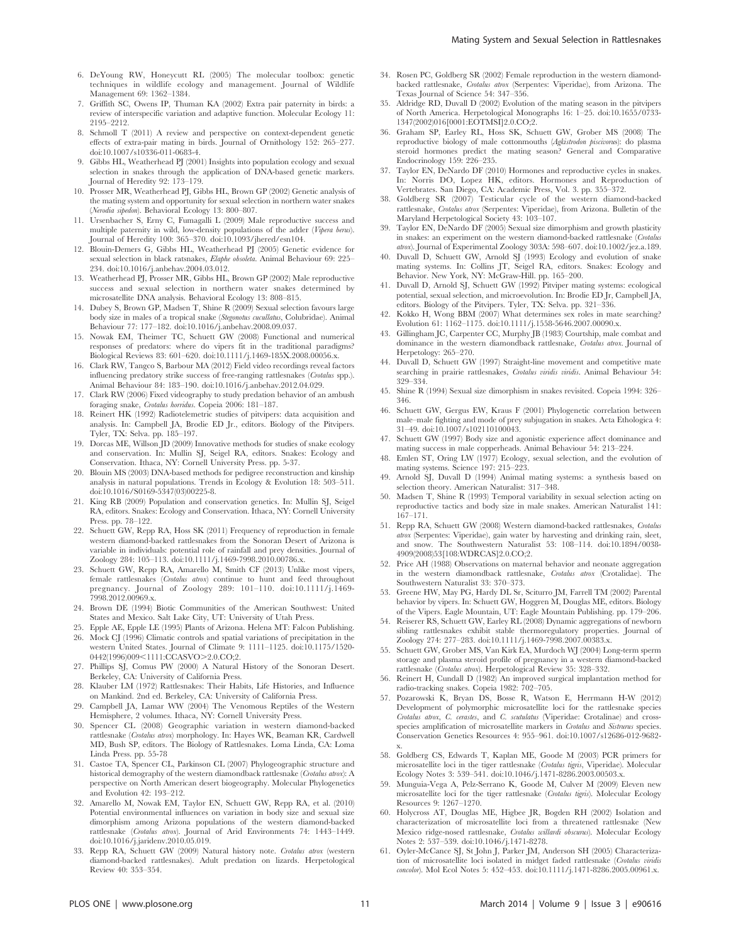- 7. Griffith SC, Owens IP, Thuman KA (2002) Extra pair paternity in birds: a review of interspecific variation and adaptive function. Molecular Ecology 11: 2195–2212.
- 8. Schmoll T (2011) A review and perspective on context-dependent genetic effects of extra-pair mating in birds. Journal of Ornithology 152: 265–277. doi:10.1007/s10336-011-0683-4.
- 9. Gibbs HL, Weatherhead PJ (2001) Insights into population ecology and sexual selection in snakes through the application of DNA-based genetic markers. Journal of Heredity 92: 173–179.
- 10. Prosser MR, Weatherhead PJ, Gibbs HL, Brown GP (2002) Genetic analysis of the mating system and opportunity for sexual selection in northern water snakes (Nerodia sipedon). Behavioral Ecology 13: 800–807.
- 11. Ursenbacher S, Erny C, Fumagalli L (2009) Male reproductive success and multiple paternity in wild, low-density populations of the adder (Vipera berus). Journal of Heredity 100: 365–370. doi:10.1093/jhered/esn104.
- 12. Blouin-Demers G, Gibbs HL, Weatherhead PJ (2005) Genetic evidence for sexual selection in black ratsnakes, Elaphe obsoleta. Animal Behaviour 69: 225– 234. doi:10.1016/j.anbehav.2004.03.012.
- 13. Weatherhead PJ, Prosser MR, Gibbs HL, Brown GP (2002) Male reproductive success and sexual selection in northern water snakes determined by microsatellite DNA analysis. Behavioral Ecology 13: 808–815.
- 14. Dubey S, Brown GP, Madsen T, Shine R (2009) Sexual selection favours large body size in males of a tropical snake (Stegonotus cucullatus, Colubridae). Animal Behaviour 77: 177–182. doi:10.1016/j.anbehav.2008.09.037.
- 15. Nowak EM, Theimer TC, Schuett GW (2008) Functional and numerical responses of predators: where do vipers fit in the traditional paradigms? Biological Reviews 83: 601–620. doi:10.1111/j.1469-185X.2008.00056.x.
- 16. Clark RW, Tangco S, Barbour MA (2012) Field video recordings reveal factors influencing predatory strike success of free-ranging rattlesnakes (Crotalus spp.). Animal Behaviour 84: 183–190. doi:10.1016/j.anbehav.2012.04.029.
- 17. Clark RW (2006) Fixed videography to study predation behavior of an ambush foraging snake, Crotalus horridus. Copeia 2006: 181–187.
- 18. Reinert HK (1992) Radiotelemetric studies of pitvipers: data acquisition and analysis. In: Campbell JA, Brodie ED Jr., editors. Biology of the Pitvipers. Tyler, TX: Selva. pp. 185–197.
- 19. Dorcas ME, Willson JD (2009) Innovative methods for studies of snake ecology and conservation. In: Mullin SJ, Seigel RA, editors. Snakes: Ecology and Conservation. Ithaca, NY: Cornell University Press. pp. 5-37.
- 20. Blouin MS (2003) DNA-based methods for pedigree reconstruction and kinship analysis in natural populations. Trends in Ecology & Evolution 18: 503–511. doi:10.1016/S0169-5347(03)00225-8.
- 21. King RB (2009) Population and conservation genetics. In: Mullin SJ, Seigel RA, editors. Snakes: Ecology and Conservation. Ithaca, NY: Cornell University Press. pp. 78–122.
- 22. Schuett GW, Repp RA, Hoss SK (2011) Frequency of reproduction in female western diamond-backed rattlesnakes from the Sonoran Desert of Arizona is variable in individuals: potential role of rainfall and prey densities. Journal of Zoology 284: 105–113. doi:10.1111/j.1469-7998.2010.00786.x.
- 23. Schuett GW, Repp RA, Amarello M, Smith CF (2013) Unlike most vipers, female rattlesnakes (Crotalus atrox) continue to hunt and feed throughout pregnancy. Journal of Zoology 289: 101–110. doi:10.1111/j.1469- 7998.2012.00969.x.
- 24. Brown DE (1994) Biotic Communities of the American Southwest: United States and Mexico. Salt Lake City, UT: University of Utah Press.
- 25. Epple AE, Epple LE (1995) Plants of Arizona. Helena MT: Falcon Publishing.
- 26. Mock CJ (1996) Climatic controls and spatial variations of precipitation in the western United States. Journal of Climate 9: 1111–1125. doi:10.1175/1520- 0442(1996)009<1111:CCASVO>2.0.CO;2.
- 27. Phillips SJ, Comus PW (2000) A Natural History of the Sonoran Desert. Berkeley, CA: University of California Press.
- 28. Klauber LM (1972) Rattlesnakes: Their Habits, Life Histories, and Influence on Mankind. 2nd ed. Berkeley, CA: University of California Press.
- 29. Campbell JA, Lamar WW (2004) The Venomous Reptiles of the Western Hemisphere, 2 volumes. Ithaca, NY: Cornell University Press.
- 30. Spencer CL (2008) Geographic variation in western diamond-backed rattlesnake (Crotalus atrox) morphology. In: Hayes WK, Beaman KR, Cardwell MD, Bush SP, editors. The Biology of Rattlesnakes. Loma Linda, CA: Loma Linda Press. pp. 55-78
- 31. Castoe TA, Spencer CL, Parkinson CL (2007) Phylogeographic structure and historical demography of the western diamondback rattlesnake (Crotalus atrox): A perspective on North American desert biogeography. Molecular Phylogenetics and Evolution 42: 193–212.
- 32. Amarello M, Nowak EM, Taylor EN, Schuett GW, Repp RA, et al. (2010) Potential environmental influences on variation in body size and sexual size dimorphism among Arizona populations of the western diamond-backed rattlesnake (Crotalus atrox). Journal of Arid Environments 74: 1443–1449. doi:10.1016/j.jaridenv.2010.05.019.
- 33. Repp RA, Schuett GW (2009) Natural history note. Crotalus atrox (western diamond-backed rattlesnakes). Adult predation on lizards. Herpetological Review 40: 353–354.
- 34. Rosen PC, Goldberg SR (2002) Female reproduction in the western diamondbacked rattlesnake, Crotalus atrox (Serpentes: Viperidae), from Arizona. The
- Texas Journal of Science 54: 347–356. 35. Aldridge RD, Duvall D (2002) Evolution of the mating season in the pitvipers of North America. Herpetological Monographs 16: 1–25. doi:10.1655/0733- 1347(2002)016[0001:EOTMSI]2.0.CO;2.
- 36. Graham SP, Earley RL, Hoss SK, Schuett GW, Grober MS (2008) The reproductive biology of male cottonmouths (Agkistrodon piscivorus): do plasma steroid hormones predict the mating season? General and Comparative Endocrinology 159: 226–235.
- 37. Taylor EN, DeNardo DF (2010) Hormones and reproductive cycles in snakes. In: Norris DO, Lopez HK, editors. Hormones and Reproduction of Vertebrates. San Diego, CA: Academic Press, Vol. 3. pp. 355–372.
- 38. Goldberg SR (2007) Testicular cycle of the western diamond-backed rattlesnake, Crotalus atrox (Serpentes: Viperidae), from Arizona. Bulletin of the Maryland Herpetological Society 43: 103–107.
- 39. Taylor EN, DeNardo DF (2005) Sexual size dimorphism and growth plasticity in snakes: an experiment on the western diamond-backed rattlesnake (Crotalus atrox). Journal of Experimental Zoology 303A: 598–607. doi:10.1002/jez.a.189.
- 40. Duvall D, Schuett GW, Arnold SJ (1993) Ecology and evolution of snake mating systems. In: Collins JT, Seigel RA, editors. Snakes: Ecology and Behavior. New York, NY: McGraw-Hill. pp. 165–200.
- 41. Duvall D, Arnold SJ, Schuett GW (1992) Pitviper mating systems: ecological potential, sexual selection, and microevolution. In: Brodie ED Jr, Campbell JA, editors. Biology of the Pitvipers. Tyler, TX: Selva. pp. 321–336.
- 42. Kokko H, Wong BBM (2007) What determines sex roles in mate searching? Evolution 61: 1162–1175. doi:10.1111/j.1558-5646.2007.00090.x.
- 43. Gillingham JC, Carpenter CC, Murphy JB (1983) Courtship, male combat and dominance in the western diamondback rattlesnake, Crotalus atrox. Journal of Herpetology: 265–270.
- 44. Duvall D, Schuett GW (1997) Straight-line movement and competitive mate searching in prairie rattlesnakes, Crotalus viridis viridis. Animal Behaviour 54: 329–334.
- 45. Shine R (1994) Sexual size dimorphism in snakes revisited. Copeia 1994: 326– 346.
- 46. Schuett GW, Gergus EW, Kraus F (2001) Phylogenetic correlation between male–male fighting and mode of prey subjugation in snakes. Acta Ethologica 4: 31–49. doi:10.1007/s102110100043.
- 47. Schuett GW (1997) Body size and agonistic experience affect dominance and mating success in male copperheads. Animal Behaviour 54: 213–224.
- 48. Emlen ST, Oring LW (1977) Ecology, sexual selection, and the evolution of mating systems. Science 197: 215–223.
- 49. Arnold SJ, Duvall D (1994) Animal mating systems: a synthesis based on selection theory. American Naturalist: 317–348.
- 50. Madsen T, Shine R (1993) Temporal variability in sexual selection acting on reproductive tactics and body size in male snakes. American Naturalist 141: 167–171.
- 51. Repp RA, Schuett GW (2008) Western diamond-backed rattlesnakes, Crotalus atrox (Serpentes: Viperidae), gain water by harvesting and drinking rain, sleet, and snow. The Southwestern Naturalist 53: 108–114. doi:10.1894/0038- 4909(2008)53[108:WDRCAS]2.0.CO;2.
- 52. Price AH (1988) Observations on maternal behavior and neonate aggregation in the western diamondback rattlesnake, Crotalus atrox (Crotalidae). The Southwestern Naturalist 33: 370–373.
- 53. Greene HW, May PG, Hardy DL Sr, Sciturro JM, Farrell TM (2002) Parental behavior by vipers. In: Schuett GW, Hoggren M, Douglas ME, editors. Biology of the Vipers. Eagle Mountain, UT: Eagle Mountain Publishing. pp. 179–206.
- 54. Reiserer RS, Schuett GW, Earley RL (2008) Dynamic aggregations of newborn sibling rattlesnakes exhibit stable thermoregulatory properties. Journal of Zoology 274: 277–283. doi:10.1111/j.1469-7998.2007.00383.x.
- 55. Schuett GW, Grober MS, Van Kirk EA, Murdoch WJ (2004) Long-term sperm storage and plasma steroid profile of pregnancy in a western diamond-backed rattlesnake (Crotalus atrox). Herpetological Review 35: 328-332.
- 56. Reinert H, Cundall D (1982) An improved surgical implantation method for radio-tracking snakes. Copeia 1982: 702–705.
- 57. Pozarowski K, Bryan DS, Bosse R, Watson E, Herrmann H-W (2012) Development of polymorphic microsatellite loci for the rattlesnake species Crotalus atrox, C. cerastes, and C. scutulatus (Viperidae: Crotalinae) and crossspecies amplification of microsatellite markers in Crotalus and Sistrurus species. Conservation Genetics Resources 4: 955–961. doi:10.1007/s12686-012-9682 x.
- 58. Goldberg CS, Edwards T, Kaplan ME, Goode M (2003) PCR primers for microsatellite loci in the tiger rattlesnake (Crotalus tigris, Viperidae). Molecular Ecology Notes 3: 539–541. doi:10.1046/j.1471-8286.2003.00503.x
- 59. Munguia-Vega A, Pelz-Serrano K, Goode M, Culver M (2009) Eleven new microsatellite loci for the tiger rattlesnake (Crotalus tigris). Molecular Ecology Resources 9: 1267–1270.
- 60. Holycross AT, Douglas ME, Higbee JR, Bogden RH (2002) Isolation and characterization of microsatellite loci from a threatened rattlesnake (New Mexico ridge-nosed rattlesnake, Crotalus willardi obscurus). Molecular Ecology Notes 2: 537–539. doi:10.1046/j.1471-8278.
- 61. Oyler-McCance SJ, St John J, Parker JM, Anderson SH (2005) Characterization of microsatellite loci isolated in midget faded rattlesnake (Crotalus viridis concolor). Mol Ecol Notes 5: 452-453. doi:10.1111/j.1471-8286.2005.00961.x.